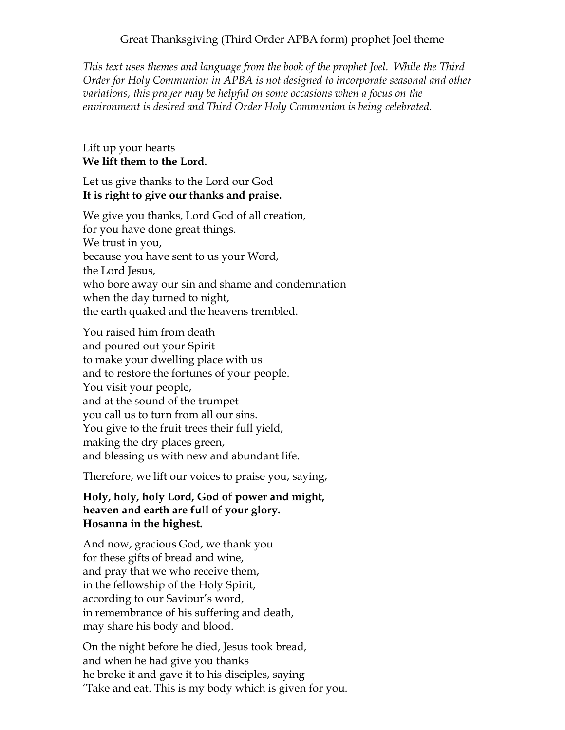## Great Thanksgiving (Third Order APBA form) prophet Joel theme

*This text uses themes and language from the book of the prophet Joel. While the Third Order for Holy Communion in APBA is not designed to incorporate seasonal and other variations, this prayer may be helpful on some occasions when a focus on the environment is desired and Third Order Holy Communion is being celebrated.* 

## Lift up your hearts **We lift them to the Lord.**

## Let us give thanks to the Lord our God **It is right to give our thanks and praise.**

We give you thanks, Lord God of all creation, for you have done great things. We trust in you, because you have sent to us your Word, the Lord Jesus, who bore away our sin and shame and condemnation when the day turned to night, the earth quaked and the heavens trembled.

You raised him from death and poured out your Spirit to make your dwelling place with us and to restore the fortunes of your people. You visit your people, and at the sound of the trumpet you call us to turn from all our sins. You give to the fruit trees their full yield, making the dry places green, and blessing us with new and abundant life.

Therefore, we lift our voices to praise you, saying,

## **Holy, holy, holy Lord, God of power and might, heaven and earth are full of your glory. Hosanna in the highest.**

And now, gracious God, we thank you for these gifts of bread and wine, and pray that we who receive them, in the fellowship of the Holy Spirit, according to our Saviour's word, in remembrance of his suffering and death, may share his body and blood.

On the night before he died, Jesus took bread, and when he had give you thanks he broke it and gave it to his disciples, saying 'Take and eat. This is my body which is given for you.